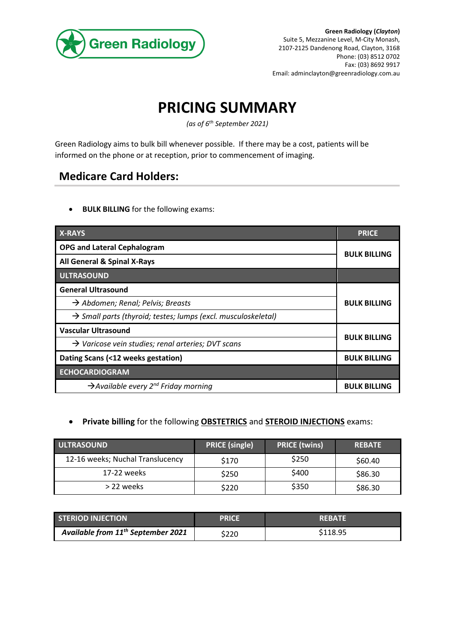

## **PRICING SUMMARY**

*(as of 6 th September 2021)*

Green Radiology aims to bulk bill whenever possible. If there may be a cost, patients will be informed on the phone or at reception, prior to commencement of imaging.

## **Medicare Card Holders:**

• **BULK BILLING** for the following exams:

| <b>X-RAYS</b>                                                             | <b>PRICE</b>        |  |
|---------------------------------------------------------------------------|---------------------|--|
| <b>OPG and Lateral Cephalogram</b>                                        | <b>BULK BILLING</b> |  |
| All General & Spinal X-Rays                                               |                     |  |
| <b>ULTRASOUND</b>                                                         |                     |  |
| <b>General Ultrasound</b>                                                 |                     |  |
| $\rightarrow$ Abdomen; Renal; Pelvis; Breasts                             | <b>BULK BILLING</b> |  |
| $\rightarrow$ Small parts (thyroid; testes; lumps (excl. musculoskeletal) |                     |  |
| <b>Vascular Ultrasound</b>                                                |                     |  |
| $\rightarrow$ Varicose vein studies; renal arteries; DVT scans            | <b>BULK BILLING</b> |  |
| Dating Scans (<12 weeks gestation)                                        | <b>BULK BILLING</b> |  |
| <b>ECHOCARDIOGRAM</b>                                                     |                     |  |
| $\rightarrow$ Available every 2 <sup>nd</sup> Friday morning              | <b>BULK BILLING</b> |  |

## • **Private billing** for the following **OBSTETRICS** and **STEROID INJECTIONS** exams:

| ULTRASOUND                       | <b>PRICE (single)</b> | <b>PRICE (twins)</b> | <b>REBATE</b> |
|----------------------------------|-----------------------|----------------------|---------------|
| 12-16 weeks; Nuchal Translucency | \$170                 | \$250                | \$60.40       |
| 17-22 weeks                      | \$250                 | \$400                | \$86.30       |
| > 22 weeks                       | \$220                 | \$350                | \$86.30       |

| <b>STERIOD INJECTION</b>                       | PRICE | <b>REBATE</b> |
|------------------------------------------------|-------|---------------|
| Available from 11 <sup>th</sup> September 2021 | \$220 | \$118.95      |